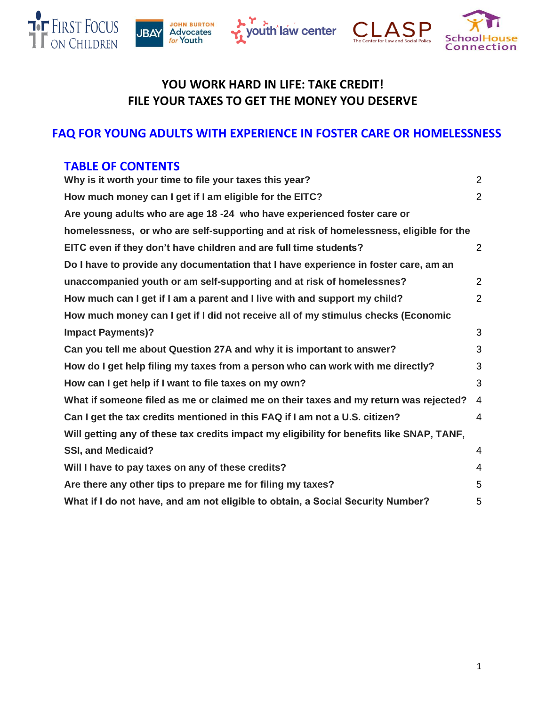







# **YOU WORK HARD IN LIFE: TAKE CREDIT! FILE YOUR TAXES TO GET THE MONEY YOU DESERVE**

# **FAQ FOR YOUNG ADULTS WITH EXPERIENCE IN FOSTER CARE OR HOMELESSNESS**

# **TABLE OF CONTENTS**

| Why is it worth your time to file your taxes this year?                                   | $\overline{2}$ |  |  |  |  |
|-------------------------------------------------------------------------------------------|----------------|--|--|--|--|
| How much money can I get if I am eligible for the EITC?                                   | $\overline{2}$ |  |  |  |  |
| Are young adults who are age 18 -24 who have experienced foster care or                   |                |  |  |  |  |
| homelessness, or who are self-supporting and at risk of homelessness, eligible for the    |                |  |  |  |  |
| EITC even if they don't have children and are full time students?                         | $\overline{2}$ |  |  |  |  |
| Do I have to provide any documentation that I have experience in foster care, am an       |                |  |  |  |  |
| unaccompanied youth or am self-supporting and at risk of homelessnes?                     | 2              |  |  |  |  |
| How much can I get if I am a parent and I live with and support my child?                 | 2              |  |  |  |  |
| How much money can I get if I did not receive all of my stimulus checks (Economic         |                |  |  |  |  |
| <b>Impact Payments)?</b>                                                                  | 3              |  |  |  |  |
| Can you tell me about Question 27A and why it is important to answer?                     | 3              |  |  |  |  |
| How do I get help filing my taxes from a person who can work with me directly?            | 3              |  |  |  |  |
| How can I get help if I want to file taxes on my own?                                     | 3              |  |  |  |  |
| What if someone filed as me or claimed me on their taxes and my return was rejected?      | 4              |  |  |  |  |
| Can I get the tax credits mentioned in this FAQ if I am not a U.S. citizen?               | 4              |  |  |  |  |
| Will getting any of these tax credits impact my eligibility for benefits like SNAP, TANF, |                |  |  |  |  |
| <b>SSI, and Medicaid?</b>                                                                 | 4              |  |  |  |  |
| Will I have to pay taxes on any of these credits?                                         | 4              |  |  |  |  |
| Are there any other tips to prepare me for filing my taxes?                               | 5              |  |  |  |  |
| What if I do not have, and am not eligible to obtain, a Social Security Number?<br>5      |                |  |  |  |  |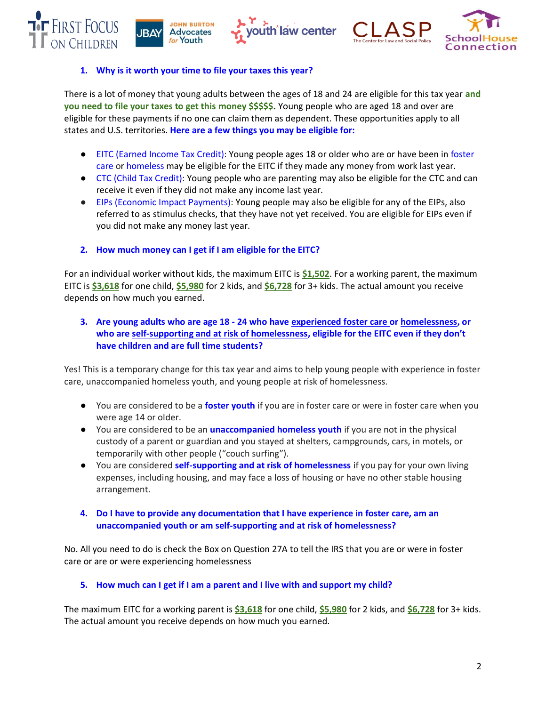







# <span id="page-1-0"></span>**1. Why is it worth your time to file your taxes this year?**

There is a lot of money that young adults between the ages of 18 and 24 are eligible for this tax year **and you need to file your taxes to get this money \$\$\$\$\$.** Young people who are aged 18 and over are eligible for these payments if no one can claim them as dependent. These opportunities apply to all states and U.S. territories. **Here are a few things you may be eligible for:**

- EITC (Earned Income Tax Credit): Young people ages 18 or older who are or have been in foster care or homeless may be eligible for the EITC if they made any money from work last year.
- CTC (Child Tax Credit): Young people who are parenting may also be eligible for the CTC and can receive it even if they did not make any income last year.
- EIPs (Economic Impact Payments): Young people may also be eligible for any of the EIPs, also referred to as stimulus checks, that they have not yet received. You are eligible for EIPs even if you did not make any money last year.

# <span id="page-1-1"></span>**2. How much money can I get if I am eligible for the EITC?**

For an individual worker without kids, the maximum EITC is **\$1,502**. For a working parent, the maximum EITC is **\$3,618** for one child, **\$5,980** for 2 kids, and **\$6,728** for 3+ kids. The actual amount you receive depends on how much you earned.

# <span id="page-1-2"></span>**3. Are young adults who are age 18 - 24 who have experienced foster care or homelessness, or who are self-supporting and at risk of homelessness, eligible for the EITC even if they don't have children and are full time students?**

Yes! This is a temporary change for this tax year and aims to help young people with experience in foster care, unaccompanied homeless youth, and young people at risk of homelessness.

- You are considered to be a **foster youth** if you are in foster care or were in foster care when you were age 14 or older.
- You are considered to be an **unaccompanied homeless youth** if you are not in the physical custody of a parent or guardian and you stayed at shelters, campgrounds, cars, in motels, or temporarily with other people ("couch surfing").
- You are considered **self-supporting and at risk of homelessness** if you pay for your own living expenses, including housing, and may face a loss of housing or have no other stable housing arrangement.
- <span id="page-1-3"></span>**4. Do I have to provide any documentation that I have experience in foster care, am an unaccompanied youth or am self-supporting and at risk of homelessness?**

No. All you need to do is check the Box on Question 27A to tell the IRS that you are or were in foster care or are or were experiencing homelessness

# <span id="page-1-4"></span>**5. How much can I get if I am a parent and I live with and support my child?**

The maximum EITC for a working parent is **\$3,618** for one child, **\$5,980** for 2 kids, and **\$6,728** for 3+ kids. The actual amount you receive depends on how much you earned.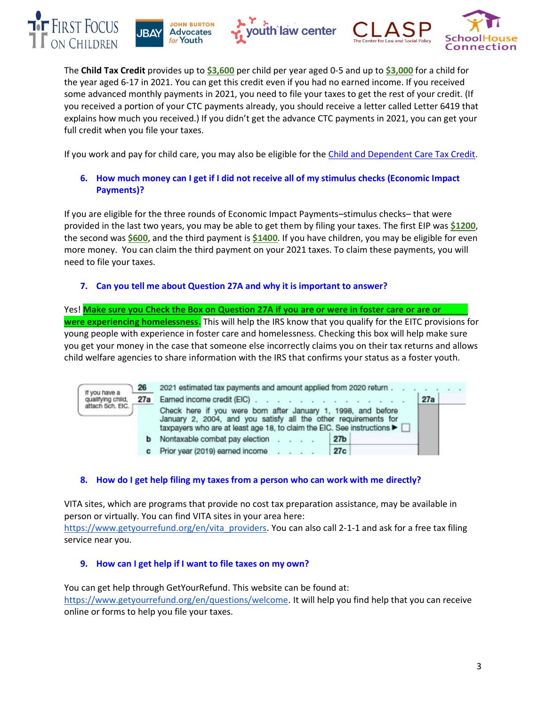







The **Child Tax Credit** provides up to **\$3,600** per child per year aged 0-5 and up to **\$3,000** for a child for the year aged 6-17 in 2021. You can get this credit even if you had no earned income. If you received some advanced monthly payments in 2021, you need to file your taxes to get the rest of your credit. (If you received a portion of your CTC payments already, you should receive a letter called Letter 6419 that explains how much you received.) If you didn't get the advance CTC payments in 2021, you can get your full credit when you file your taxes.

If you work and pay for child care, you may also be eligible for the [Child and Dependent Care Tax Credit.](https://nwlc.org/resource/claim-your-money-the-child-and-dependent-care-credit-in-2021/)

# <span id="page-2-0"></span>**6. How much money can I get if I did not receive all of my stimulus checks (Economic Impact Payments)?**

If you are eligible for the three rounds of Economic Impact Payments–stimulus checks– that were provided in the last two years, you may be able to get them by filing your taxes. The first EIP was **\$1200**, the second was **\$600**, and the third payment is **\$1400**. If you have children, you may be eligible for even more money. You can claim the third payment on your 2021 taxes. To claim these payments, you will need to file your taxes.

# <span id="page-2-1"></span>**7. Can you tell me about Question 27A and why it is important to answer?**

Yes! **Make sure you Check the Box on Question 27A if you are or were in foster care or are or were experiencing homelessness.** This will help the IRS know that you qualify for the EITC provisions for young people with experience in foster care and homelessness. Checking this box will help make sure you get your money in the case that someone else incorrectly claims you on their tax returns and allows child welfare agencies to share information with the IRS that confirms your status as a foster youth.

| If you have a<br>qualifying child.<br>attach Sch. EIC. | 26  | 2021 estimated tax payments and amount applied from 2020 return                                                                                                                                               |                 |  |     |  |  |
|--------------------------------------------------------|-----|---------------------------------------------------------------------------------------------------------------------------------------------------------------------------------------------------------------|-----------------|--|-----|--|--|
|                                                        | 27a | Earned income credit (EIC)                                                                                                                                                                                    |                 |  | 27a |  |  |
|                                                        |     | Check here if you were born after January 1, 1998, and before<br>January 2, 2004, and you satisfy all the other requirements for<br>taxpayers who are at least age 18, to claim the EIC. See instructions ▶ □ |                 |  |     |  |  |
|                                                        |     | <b>b</b> Nontaxable combat pay election                                                                                                                                                                       | 27 <sub>b</sub> |  |     |  |  |
|                                                        |     | Prior year (2019) earned income<br><b>Contract Contract</b>                                                                                                                                                   | 27c             |  |     |  |  |

# <span id="page-2-2"></span>**8. How do I get help filing my taxes from a person who can work with me directly?**

VITA sites, which are programs that provide no cost tax preparation assistance, may be available in person or virtually. You can find VITA sites in your area here: [https://www.getyourrefund.org/en/vita\\_providers.](https://www.getyourrefund.org/en/vita_providers) You can also call 2-1-1 and ask for a free tax filing service near you.

## <span id="page-2-3"></span>**9. How can I get help if I want to file taxes on my own?**

You can get help through GetYourRefund. This website can be found at: [https://www.getyourrefund.org/en/questions/welcome.](https://www.getyourrefund.org/en/questions/welcome) It will help you find help that you can receive online or forms to help you file your taxes.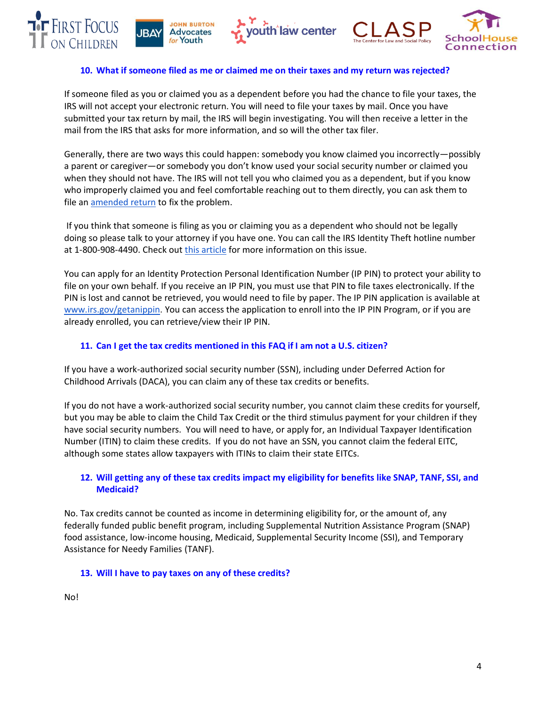







### <span id="page-3-0"></span>**10. What if someone filed as me or claimed me on their taxes and my return was rejected?**

If someone filed as you or claimed you as a dependent before you had the chance to file your taxes, the IRS will not accept your electronic return. You will need to file your taxes by mail. Once you have submitted your tax return by mail, the IRS will begin investigating. You will then receive a letter in the mail from the IRS that asks for more information, and so will the other tax filer.

Generally, there are two ways this could happen: somebody you know claimed you incorrectly—possibly a parent or caregiver—or somebody you don't know used your social security number or claimed you when they should not have. The IRS will not tell you who claimed you as a dependent, but if you know who improperly claimed you and feel comfortable reaching out to them directly, you can ask them to file an [amended return](https://www.irs.gov/taxtopics/tc308) to fix the problem.

If you think that someone is filing as you or claiming you as a dependent who should not be legally doing so please talk to your attorney if you have one. You can call the IRS Identity Theft hotline number at 1-800-908-4490. Check out [this article](https://www.mybanktracker.com/blog/taxes/claimed-dependent-wrongly-308108) for more information on this issue.

You can apply for an Identity Protection Personal Identification Number (IP PIN) to protect your ability to file on your own behalf. If you receive an IP PIN, you must use that PIN to file taxes electronically. If the PIN is lost and cannot be retrieved, you would need to file by paper. The IP PIN application is available at [www.irs.gov/getanippin.](https://urldefense.com/v3/__https:/www.irs.gov/identity-theft-fraud-scams/get-an-identity-protection-pin__;!!Bg5easoyC-OII2vlEqY8mTBrtW-N4OJKAQ!ejcD4Fuf_QeGBtSIiy9cQ-7X2xdhxjrPBX2n23fCSuQ2mBSq3x9PZcDkbQ9HpPKobPWfFhkPAJUh_TQ$) You can access the application to enroll into the IP PIN Program, or if you are already enrolled, you can retrieve/view their IP PIN.

# <span id="page-3-1"></span>**11. Can I get the tax credits mentioned in this FAQ if I am not a U.S. citizen?**

If you have a work-authorized social security number (SSN), including under Deferred Action for Childhood Arrivals (DACA), you can claim any of these tax credits or benefits.

If you do not have a work-authorized social security number, you cannot claim these credits for yourself, but you may be able to claim the Child Tax Credit or the third stimulus payment for your children if they have social security numbers. You will need to have, or apply for, an Individual Taxpayer Identification Number (ITIN) to claim these credits. If you do not have an SSN, you cannot claim the federal EITC, although some states allow taxpayers with ITINs to claim their state EITCs.

# <span id="page-3-2"></span>**12. Will getting any of these tax credits impact my eligibility for benefits like SNAP, TANF, SSI, and Medicaid?**

No. Tax credits cannot be counted as income in determining eligibility for, or the amount of, any federally funded public benefit program, including Supplemental Nutrition Assistance Program (SNAP) food assistance, low-income housing, Medicaid, Supplemental Security Income (SSI), and Temporary Assistance for Needy Families (TANF).

## <span id="page-3-3"></span>**13. Will I have to pay taxes on any of these credits?**

No!